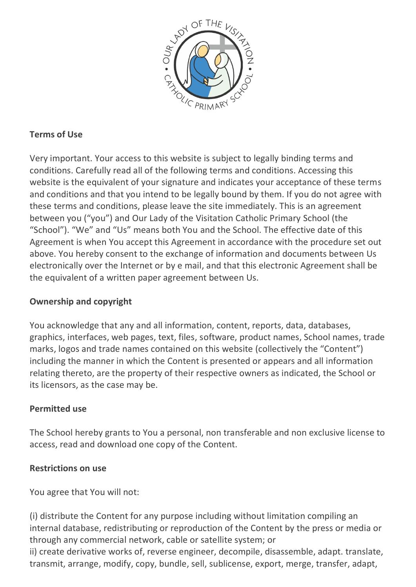

# **Terms of Use**

Very important. Your access to this website is subject to legally binding terms and conditions. Carefully read all of the following terms and conditions. Accessing this website is the equivalent of your signature and indicates your acceptance of these terms and conditions and that you intend to be legally bound by them. If you do not agree with these terms and conditions, please leave the site immediately. This is an agreement between you ("you") and Our Lady of the Visitation Catholic Primary School (the "School"). "We" and "Us" means both You and the School. The effective date of this Agreement is when You accept this Agreement in accordance with the procedure set out above. You hereby consent to the exchange of information and documents between Us electronically over the Internet or by e mail, and that this electronic Agreement shall be the equivalent of a written paper agreement between Us.

### **Ownership and copyright**

You acknowledge that any and all information, content, reports, data, databases, graphics, interfaces, web pages, text, files, software, product names, School names, trade marks, logos and trade names contained on this website (collectively the "Content") including the manner in which the Content is presented or appears and all information relating thereto, are the property of their respective owners as indicated, the School or its licensors, as the case may be.

### **Permitted use**

The School hereby grants to You a personal, non transferable and non exclusive license to access, read and download one copy of the Content.

#### **Restrictions on use**

You agree that You will not:

(i) distribute the Content for any purpose including without limitation compiling an internal database, redistributing or reproduction of the Content by the press or media or through any commercial network, cable or satellite system; or

ii) create derivative works of, reverse engineer, decompile, disassemble, adapt. translate, transmit, arrange, modify, copy, bundle, sell, sublicense, export, merge, transfer, adapt,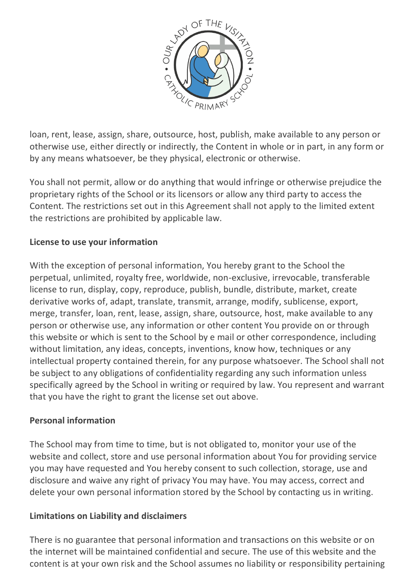

loan, rent, lease, assign, share, outsource, host, publish, make available to any person or otherwise use, either directly or indirectly, the Content in whole or in part, in any form or by any means whatsoever, be they physical, electronic or otherwise.

You shall not permit, allow or do anything that would infringe or otherwise prejudice the proprietary rights of the School or its licensors or allow any third party to access the Content. The restrictions set out in this Agreement shall not apply to the limited extent the restrictions are prohibited by applicable law.

## **License to use your information**

With the exception of personal information, You hereby grant to the School the perpetual, unlimited, royalty free, worldwide, non-exclusive, irrevocable, transferable license to run, display, copy, reproduce, publish, bundle, distribute, market, create derivative works of, adapt, translate, transmit, arrange, modify, sublicense, export, merge, transfer, loan, rent, lease, assign, share, outsource, host, make available to any person or otherwise use, any information or other content You provide on or through this website or which is sent to the School by e mail or other correspondence, including without limitation, any ideas, concepts, inventions, know how, techniques or any intellectual property contained therein, for any purpose whatsoever. The School shall not be subject to any obligations of confidentiality regarding any such information unless specifically agreed by the School in writing or required by law. You represent and warrant that you have the right to grant the license set out above.

#### **Personal information**

The School may from time to time, but is not obligated to, monitor your use of the website and collect, store and use personal information about You for providing service you may have requested and You hereby consent to such collection, storage, use and disclosure and waive any right of privacy You may have. You may access, correct and delete your own personal information stored by the School by contacting us in writing.

### **Limitations on Liability and disclaimers**

There is no guarantee that personal information and transactions on this website or on the internet will be maintained confidential and secure. The use of this website and the content is at your own risk and the School assumes no liability or responsibility pertaining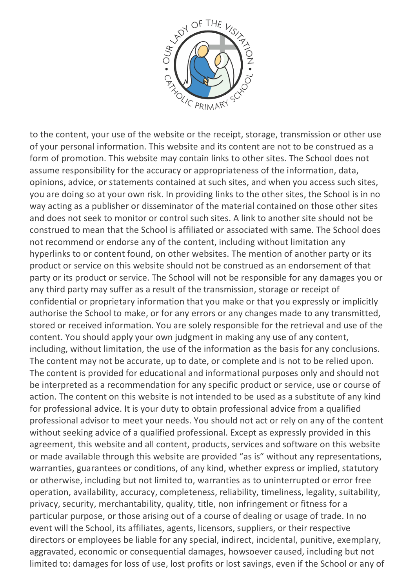

to the content, your use of the website or the receipt, storage, transmission or other use of your personal information. This website and its content are not to be construed as a form of promotion. This website may contain links to other sites. The School does not assume responsibility for the accuracy or appropriateness of the information, data, opinions, advice, or statements contained at such sites, and when you access such sites, you are doing so at your own risk. In providing links to the other sites, the School is in no way acting as a publisher or disseminator of the material contained on those other sites and does not seek to monitor or control such sites. A link to another site should not be construed to mean that the School is affiliated or associated with same. The School does not recommend or endorse any of the content, including without limitation any hyperlinks to or content found, on other websites. The mention of another party or its product or service on this website should not be construed as an endorsement of that party or its product or service. The School will not be responsible for any damages you or any third party may suffer as a result of the transmission, storage or receipt of confidential or proprietary information that you make or that you expressly or implicitly authorise the School to make, or for any errors or any changes made to any transmitted, stored or received information. You are solely responsible for the retrieval and use of the content. You should apply your own judgment in making any use of any content, including, without limitation, the use of the information as the basis for any conclusions. The content may not be accurate, up to date, or complete and is not to be relied upon. The content is provided for educational and informational purposes only and should not be interpreted as a recommendation for any specific product or service, use or course of action. The content on this website is not intended to be used as a substitute of any kind for professional advice. It is your duty to obtain professional advice from a qualified professional advisor to meet your needs. You should not act or rely on any of the content without seeking advice of a qualified professional. Except as expressly provided in this agreement, this website and all content, products, services and software on this website or made available through this website are provided "as is" without any representations, warranties, guarantees or conditions, of any kind, whether express or implied, statutory or otherwise, including but not limited to, warranties as to uninterrupted or error free operation, availability, accuracy, completeness, reliability, timeliness, legality, suitability, privacy, security, merchantability, quality, title, non infringement or fitness for a particular purpose, or those arising out of a course of dealing or usage of trade. In no event will the School, its affiliates, agents, licensors, suppliers, or their respective directors or employees be liable for any special, indirect, incidental, punitive, exemplary, aggravated, economic or consequential damages, howsoever caused, including but not limited to: damages for loss of use, lost profits or lost savings, even if the School or any of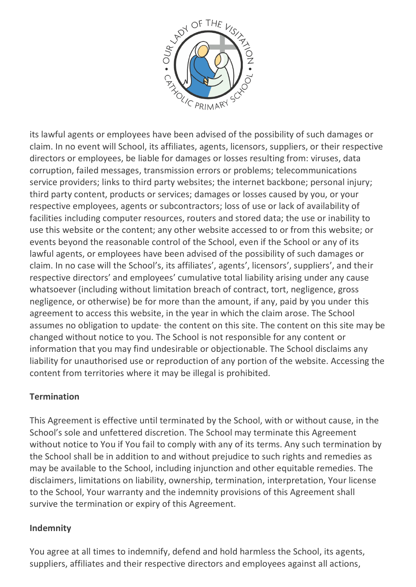

its lawful agents or employees have been advised of the possibility of such damages or claim. In no event will School, its affiliates, agents, licensors, suppliers, or their respective directors or employees, be liable for damages or losses resulting from: viruses, data corruption, failed messages, transmission errors or problems; telecommunications service providers; links to third party websites; the internet backbone; personal injury; third party content, products or services; damages or losses caused by you, or your respective employees, agents or subcontractors; loss of use or lack of availability of facilities including computer resources, routers and stored data; the use or inability to use this website or the content; any other website accessed to or from this website; or events beyond the reasonable control of the School, even if the School or any of its lawful agents, or employees have been advised of the possibility of such damages or claim. In no case will the School's, its affiliates', agents', licensors', suppliers', and their respective directors' and employees' cumulative total liability arising under any cause whatsoever (including without limitation breach of contract, tort, negligence, gross negligence, or otherwise) be for more than the amount, if any, paid by you under this agreement to access this website, in the year in which the claim arose. The School assumes no obligation to update· the content on this site. The content on this site may be changed without notice to you. The School is not responsible for any content or information that you may find undesirable or objectionable. The School disclaims any liability for unauthorised use or reproduction of any portion of the website. Accessing the content from territories where it may be illegal is prohibited.

### **Termination**

This Agreement is effective until terminated by the School, with or without cause, in the School's sole and unfettered discretion. The School may terminate this Agreement without notice to You if You fail to comply with any of its terms. Any such termination by the School shall be in addition to and without prejudice to such rights and remedies as may be available to the School, including injunction and other equitable remedies. The disclaimers, limitations on liability, ownership, termination, interpretation, Your license to the School, Your warranty and the indemnity provisions of this Agreement shall survive the termination or expiry of this Agreement.

#### **Indemnity**

You agree at all times to indemnify, defend and hold harmless the School, its agents, suppliers, affiliates and their respective directors and employees against all actions,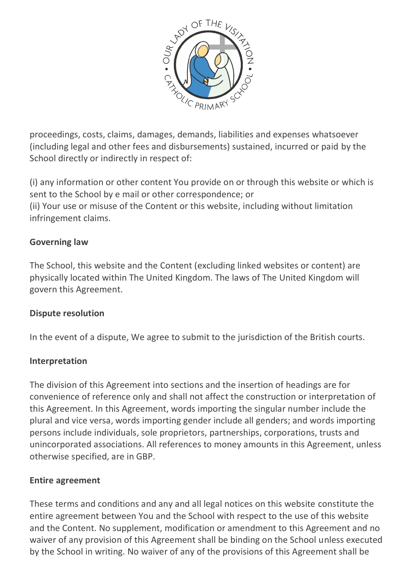

proceedings, costs, claims, damages, demands, liabilities and expenses whatsoever (including legal and other fees and disbursements) sustained, incurred or paid by the School directly or indirectly in respect of:

(i) any information or other content You provide on or through this website or which is sent to the School by e mail or other correspondence; or (ii) Your use or misuse of the Content or this website, including without limitation infringement claims.

#### **Governing law**

The School, this website and the Content (excluding linked websites or content) are physically located within The United Kingdom. The laws of The United Kingdom will govern this Agreement.

#### **Dispute resolution**

In the event of a dispute, We agree to submit to the jurisdiction of the British courts.

### **Interpretation**

The division of this Agreement into sections and the insertion of headings are for convenience of reference only and shall not affect the construction or interpretation of this Agreement. In this Agreement, words importing the singular number include the plural and vice versa, words importing gender include all genders; and words importing persons include individuals, sole proprietors, partnerships, corporations, trusts and unincorporated associations. All references to money amounts in this Agreement, unless otherwise specified, are in GBP.

#### **Entire agreement**

These terms and conditions and any and all legal notices on this website constitute the entire agreement between You and the School with respect to the use of this website and the Content. No supplement, modification or amendment to this Agreement and no waiver of any provision of this Agreement shall be binding on the School unless executed by the School in writing. No waiver of any of the provisions of this Agreement shall be